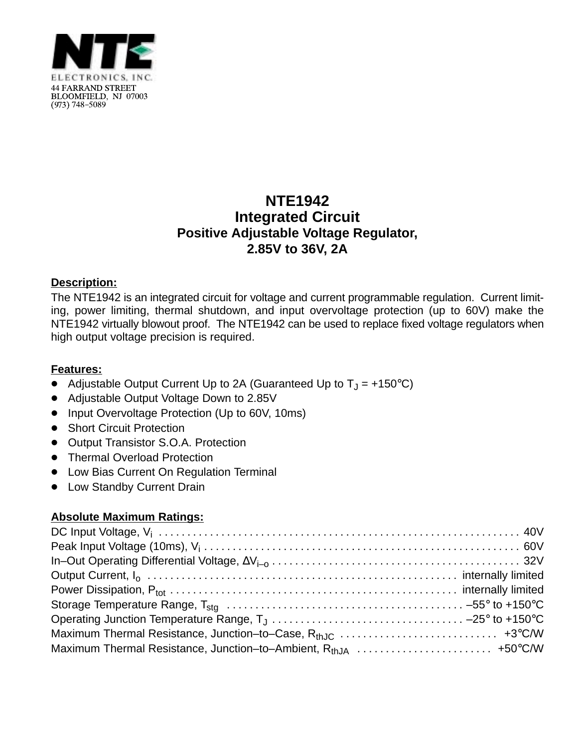

## **NTE1942 Integrated Circuit Positive Adjustable Voltage Regulator, 2.85V to 36V, 2A**

## **Description:**

The NTE1942 is an integrated circuit for voltage and current programmable regulation. Current limiting, power limiting, thermal shutdown, and input overvoltage protection (up to 60V) make the NTE1942 virtually blowout proof. The NTE1942 can be used to replace fixed voltage regulators when high output voltage precision is required.

## **Features:**

- Adjustable Output Current Up to 2A (Guaranteed Up to  $T_J = +150^{\circ}C$ )
- Adjustable Output Voltage Down to 2.85V
- Input Overvoltage Protection (Up to 60V, 10ms)
- Short Circuit Protection
- Output Transistor S.O.A. Protection
- **•** Thermal Overload Protection
- Low Bias Current On Regulation Terminal
- Low Standby Current Drain

## **Absolute Maximum Ratings:**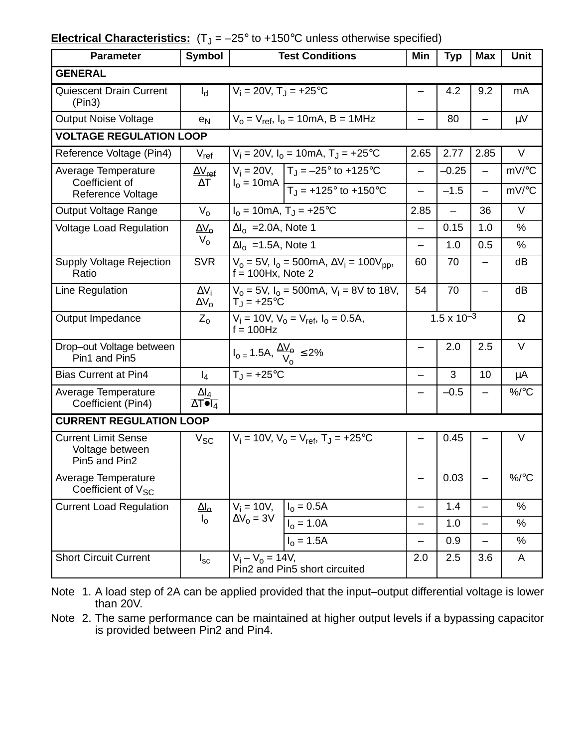|  | <b>Electrical Characteristics:</b> $(T_J = -25^\circ \text{ to } +150^\circ \text{C}$ unless otherwise specified) |  |
|--|-------------------------------------------------------------------------------------------------------------------|--|
|--|-------------------------------------------------------------------------------------------------------------------|--|

| <b>Parameter</b>                                               | <b>Symbol</b>                             | <b>Test Conditions</b>                                                                                                       | Min                      | <b>Typ</b>               | <b>Max</b>                                           | <b>Unit</b>    |  |  |
|----------------------------------------------------------------|-------------------------------------------|------------------------------------------------------------------------------------------------------------------------------|--------------------------|--------------------------|------------------------------------------------------|----------------|--|--|
| <b>GENERAL</b>                                                 |                                           |                                                                                                                              |                          |                          |                                                      |                |  |  |
| <b>Quiescent Drain Current</b><br>(Pin3)                       | $I_d$                                     | $V_i = 20V$ , $T_i = +25$ °C                                                                                                 |                          | 4.2                      | 9.2                                                  | mA             |  |  |
| <b>Output Noise Voltage</b>                                    | e <sub>N</sub>                            | $V_0 = V_{ref}$ , $I_0 = 10$ mA, B = 1MHz                                                                                    |                          | 80                       |                                                      | μV             |  |  |
| <b>VOLTAGE REGULATION LOOP</b>                                 |                                           |                                                                                                                              |                          |                          |                                                      |                |  |  |
| Reference Voltage (Pin4)                                       | $V_{\sf ref}$                             | $V_i = 20V$ , $I_0 = 10mA$ , $T_i = +25°C$                                                                                   | 2.65                     | 2.77                     | 2.85                                                 | $\vee$         |  |  |
| Average Temperature<br>Coefficient of                          | $\Delta V_{\sf ref}$<br>$\Delta T$        | $V_i = 20V$ , $T_j = -25^\circ$ to +125°C<br>$I_0 = 10 \text{mA}$ $\boxed{T_J = +125^\circ \text{ to } +150^\circ \text{C}}$ | —                        | $-0.25$<br>$-1.5$        | $\overline{\phantom{0}}$<br>$\overline{\phantom{0}}$ | mV/°C<br>mV/°C |  |  |
| Reference Voltage                                              |                                           |                                                                                                                              |                          |                          |                                                      |                |  |  |
| Output Voltage Range                                           | $V_{\Omega}$                              | $I_0 = 10 \text{mA}, T_J = +25^{\circ} \text{C}$                                                                             | 2.85                     | $\overline{\phantom{0}}$ | 36                                                   | $\vee$         |  |  |
| <b>Voltage Load Regulation</b>                                 | $\Delta V_{\rm o}$                        | $\Delta I_0$ = 2.0A, Note 1                                                                                                  | —                        | 0.15                     | 1.0                                                  | %              |  |  |
|                                                                | $V_{0}$                                   | $\Delta I_0$ = 1.5A, Note 1                                                                                                  | —                        | 1.0                      | 0.5                                                  | %              |  |  |
| <b>Supply Voltage Rejection</b><br>Ratio                       | <b>SVR</b>                                | $V_0 = 5V$ , $I_0 = 500$ mA, $\Delta V_i = 100 V_{pp}$ ,<br>$f = 100$ Hx, Note 2                                             | 60                       | 70                       | $\qquad \qquad -$                                    | dB             |  |  |
| Line Regulation                                                | $\Delta V_i$<br>$\Delta V_{\Omega}$       | $V_0 = 5V$ , $I_0 = 500$ mA, $V_i = 8V$ to 18V,<br>$T_J = +25$ °C                                                            | 54                       | 70                       |                                                      | dB             |  |  |
| Output Impedance                                               | $Z_{0}$                                   | $V_i = 10V$ , $V_o = V_{ref}$ , $I_o = 0.5A$ ,<br>$f = 100$ Hz                                                               |                          | $1.5 \times 10^{-3}$     |                                                      | Ω              |  |  |
| Drop-out Voltage between<br>Pin1 and Pin5                      |                                           | $I_{0} = 1.5A, \frac{\Delta V_{\odot}}{V_{0}} \leq 2\%$                                                                      |                          | 2.0                      | 2.5                                                  | V              |  |  |
| <b>Bias Current at Pin4</b>                                    | $I_4$                                     | $T_J = +25$ °C                                                                                                               | $\overline{\phantom{0}}$ | 3                        | 10                                                   | μA             |  |  |
| Average Temperature<br>Coefficient (Pin4)                      | $\frac{\Delta I_4}{\Delta T \bullet I_4}$ |                                                                                                                              |                          | $-0.5$                   |                                                      | $\%$ /°C       |  |  |
| <b>CURRENT REGULATION LOOP</b>                                 |                                           |                                                                                                                              |                          |                          |                                                      |                |  |  |
| <b>Current Limit Sense</b><br>Voltage between<br>Pin5 and Pin2 | $V_{SC}$                                  | $V_i = 10V$ , $V_o = V_{ref}$ , $T_J = +25$ °C                                                                               |                          | 0.45                     |                                                      | V              |  |  |
| Average Temperature<br>Coefficient of V <sub>SC</sub>          |                                           |                                                                                                                              | —                        | 0.03                     | $\qquad \qquad$                                      | %/°C           |  |  |
| <b>Current Load Regulation</b>                                 | $\Delta l_{\rm o}$                        | $V_i = 10V,$ $I_o = 0.5A$                                                                                                    | $\overline{\phantom{0}}$ | 1.4                      | $\overline{\phantom{0}}$                             | %              |  |  |
|                                                                | $I_{\rm o}$                               | $\Delta V_0 = 3V$<br>$I_0 = 1.0A$                                                                                            | $\overline{\phantom{0}}$ | $1.0$                    | $\overline{\phantom{0}}$                             | $\%$           |  |  |
|                                                                |                                           | $I_0 = 1.5A$                                                                                                                 | $\overline{\phantom{0}}$ | 0.9                      | —                                                    | $\%$           |  |  |
| <b>Short Circuit Current</b>                                   | $I_{\rm sc}$                              | $V_i - V_0 = 14V$ ,<br>Pin2 and Pin5 short circuited                                                                         | 2.0                      | 2.5                      | 3.6                                                  | A              |  |  |

Note 1. A load step of 2A can be applied provided that the input–output differential voltage is lower than 20V.

Note 2. The same performance can be maintained at higher output levels if a bypassing capacitor is provided between Pin2 and Pin4.